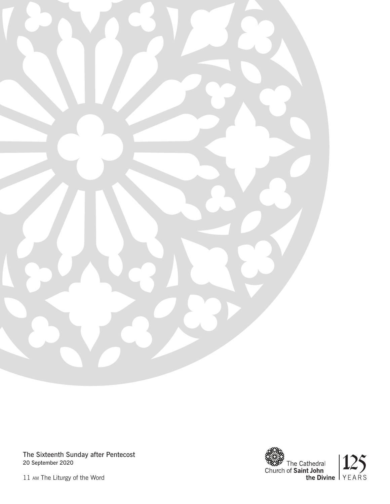

The Sixteenth Sunday after Pentecost 20 September 2020



11 am The Liturgy of the Word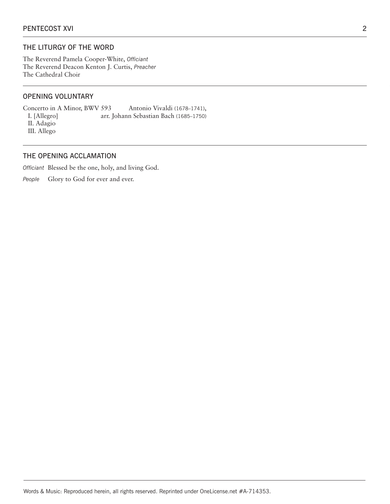## THE LITURGY OF THE WORD

The Reverend Pamela Cooper-White, *Officiant* The Reverend Deacon Kenton J. Curtis, *Preacher*  The Cathedral Choir

## OPENING VOLUNTARY

Concerto in A Minor, BWV 593 Antonio Vivaldi (1678–1741), I. [Allegro] arr. Johann Sebastian Bach (1685–1750) II. Adagio III. Allego

## THE OPENING ACCLAMATION

*Officiant* Blessed be the one, holy, and living God.

People Glory to God for ever and ever.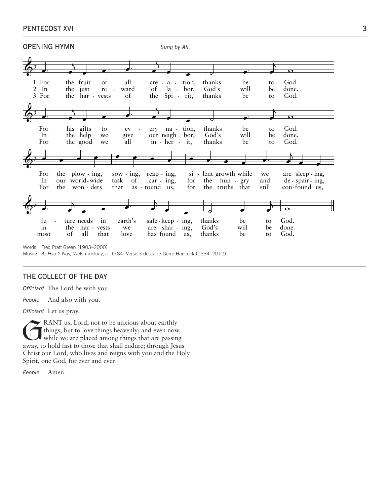| PENTECOST XVI |  |
|---------------|--|
|               |  |



Music: *Ar Hyd Y Nos,* Welsh melody, c. 1784. Verse 3 descant: Gerre Hancock (1934–2012)

## THE COLLECT OF THE DAY

*Officiant* The Lord be with you.

*People* And also with you.

*Officiant* Let us pray.

KANT us, Lord, not to be anxious about earthly things, but to love things heavenly; and even now, while we are placed among things that are passing away, to hold fast to those that shall endure; through Jesus Christ our Lord, who lives and reigns with you and the Holy Spirit, one God, for ever and ever.

*People* Amen.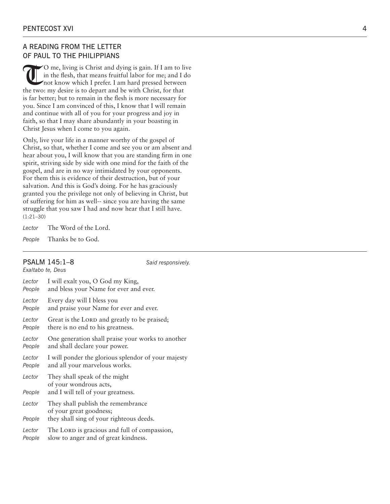## A READING FROM THE LETTER OF PAUL TO THE PHILIPPIANS

O me, living is Christ and dying is gain. If I am to live<br>in the flesh, that means fruitful labor for me; and I do<br>not know which I prefer. I am hard pressed between<br>the two, my desire is to depart and be with Christ, for in the flesh, that means fruitful labor for me; and I do not know which I prefer. I am hard pressed between the two: my desire is to depart and be with Christ, for that is far better; but to remain in the flesh is more necessary for you. Since I am convinced of this, I know that I will remain and continue with all of you for your progress and joy in faith, so that I may share abundantly in your boasting in Christ Jesus when I come to you again.

Only, live your life in a manner worthy of the gospel of Christ, so that, whether I come and see you or am absent and hear about you, I will know that you are standing firm in one spirit, striving side by side with one mind for the faith of the gospel, and are in no way intimidated by your opponents. For them this is evidence of their destruction, but of your salvation. And this is God's doing. For he has graciously granted you the privilege not only of believing in Christ, but of suffering for him as well-- since you are having the same struggle that you saw I had and now hear that I still have. (1:21–30)

*Lector* The Word of the Lord.

*People* Thanks be to God.

#### PSALM 145:1–8 *Said responsively. Exaltabo te, Deus*

| Lector           | I will exalt you, O God my King,                                                              |
|------------------|-----------------------------------------------------------------------------------------------|
| People           | and bless your Name for ever and ever.                                                        |
| Lector           | Every day will I bless you                                                                    |
| People           | and praise your Name for ever and ever.                                                       |
| Lector           | Great is the LORD and greatly to be praised;                                                  |
| People           | there is no end to his greatness.                                                             |
| Lector           | One generation shall praise your works to another                                             |
| People           | and shall declare your power.                                                                 |
| Lector           | I will ponder the glorious splendor of your majesty                                           |
| People           | and all your marvelous works.                                                                 |
| Lector<br>People | They shall speak of the might<br>of your wondrous acts,<br>and I will tell of your greatness. |
| Lector           | They shall publish the remembrance<br>of your great goodness;                                 |
| People           | they shall sing of your righteous deeds.                                                      |
| Lector           | The LORD is gracious and full of compassion,                                                  |
| People           | slow to anger and of great kindness.                                                          |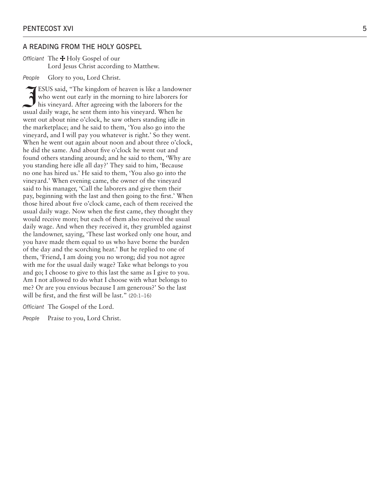#### A READING FROM THE HOLY GOSPEL

*Officiant* The  $\bigstar$  Holy Gospel of our Lord Jesus Christ according to Matthew.

*People* Glory to you, Lord Christ.

ESUS said, "The kingdom of heaven is like a landown<br>who went out early in the morning to hire laborers for<br>his vineyard. After agreeing with the laborers for the ESUS said, "The kingdom of heaven is like a landowner who went out early in the morning to hire laborers for usual daily wage, he sent them into his vineyard. When he went out about nine o'clock, he saw others standing idle in the marketplace; and he said to them, 'You also go into the vineyard, and I will pay you whatever is right.' So they went. When he went out again about noon and about three o'clock, he did the same. And about five o'clock he went out and found others standing around; and he said to them, 'Why are you standing here idle all day?' They said to him, 'Because no one has hired us.' He said to them, 'You also go into the vineyard.' When evening came, the owner of the vineyard said to his manager, 'Call the laborers and give them their pay, beginning with the last and then going to the first.' When those hired about five o'clock came, each of them received the usual daily wage. Now when the first came, they thought they would receive more; but each of them also received the usual daily wage. And when they received it, they grumbled against the landowner, saying, 'These last worked only one hour, and you have made them equal to us who have borne the burden of the day and the scorching heat.' But he replied to one of them, 'Friend, I am doing you no wrong; did you not agree with me for the usual daily wage? Take what belongs to you and go; I choose to give to this last the same as I give to you. Am I not allowed to do what I choose with what belongs to me? Or are you envious because I am generous?' So the last will be first, and the first will be last." (20:1–16)

*Officiant* The Gospel of the Lord.

*People* Praise to you, Lord Christ.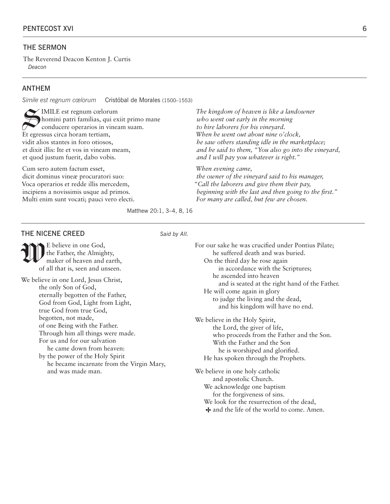#### THE SERMON

The Reverend Deacon Kenton J. Curtis *Deacon*

### ANTHEM

*Simile est regnum cœlorum* Cristóbal de Morales (1500–1553)

IMILE est regnum cœlorum homini patri familias, qui exiit primo mane conducere operarios in vineam suam. Et egressus circa horam tertiam, vidit alios stantes in foro otiosos, et dixit illis: Ite et vos in vineam meam, et quod justum fuerit, dabo vobis.

Cum sero autem factum esset, dicit dominus vineæ procuratori suo: Voca operarios et redde illis mercedem, incipiens a novissimis usque ad primos. Multi enim sunt vocati; pauci vero electi. *The kingdom of heaven is like a landowner who went out early in the morning to hire laborers for his vineyard. When he went out about nine o'clock, he saw others standing idle in the marketplace; and he said to them, "You also go into the vineyard, and I will pay you whatever is right."* 

*When evening came, the owner of the vineyard said to his manager, "Call the laborers and give them their pay, beginning with the last and then going to the first." For many are called, but few are chosen.*

Matthew 20:1, 3–4, 8, 16

# THE NICENE CREED Said by All.

E believe in one God,<br>the Father, the Almight<br>maker of heaven and the Father, the Almighty, maker of heaven and earth, of all that is, seen and unseen.

We believe in one Lord, Jesus Christ, the only Son of God, eternally begotten of the Father, God from God, Light from Light, true God from true God, begotten, not made, of one Being with the Father. Through him all things were made. For us and for our salvation he came down from heaven: by the power of the Holy Spirit

 he became incarnate from the Virgin Mary, and was made man.

| For our sake he was crucified under Pontius Pilate;                                                                                                                                                                        |
|----------------------------------------------------------------------------------------------------------------------------------------------------------------------------------------------------------------------------|
| he suffered death and was buried.                                                                                                                                                                                          |
| On the third day he rose again                                                                                                                                                                                             |
| in accordance with the Scriptures;                                                                                                                                                                                         |
| he ascended into heaven                                                                                                                                                                                                    |
| and is seated at the right hand of the Father.                                                                                                                                                                             |
| He will come again in glory                                                                                                                                                                                                |
| to judge the living and the dead,                                                                                                                                                                                          |
| and his kingdom will have no end.                                                                                                                                                                                          |
| We believe in the Holy Spirit,<br>the Lord, the giver of life,<br>who proceeds from the Father and the Son.<br>With the Father and the Son<br>he is worshiped and glorified.<br>He has spoken through the Prophets.        |
| We believe in one holy catholic<br>and apostolic Church.<br>We acknowledge one baptism<br>for the forgiveness of sins.<br>We look for the resurrection of the dead,<br>$\bigstar$ and the life of the world to come. Amen. |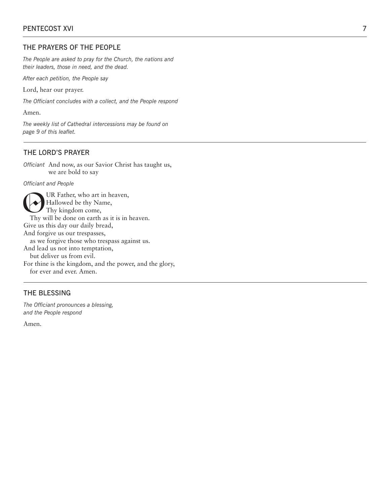## THE PRAYERS OF THE PEOPLE

*The People are asked to pray for the Church, the nations and their leaders, those in need, and the dead.* 

*After each petition, the People say*

Lord, hear our prayer.

*The Officiant concludes with a collect, and the People respond* 

Amen.

*The weekly list of Cathedral intercessions may be found on page 9 of this leaflet.*

#### THE LORD'S PRAYER

*Officiant* And now, as our Savior Christ has taught us, we are bold to say

*Officiant and People*

UR Father, who art in heaven, Hallowed be thy Name, Thy kingdom come, Thy will be done on earth as it is in heaven. Give us this day our daily bread, And forgive us our trespasses, as we forgive those who trespass against us. And lead us not into temptation, but deliver us from evil. For thine is the kingdom, and the power, and the glory, for ever and ever. Amen.

### THE BLESSING

*The Officiant pronounces a blessing, and the People respond*

Amen.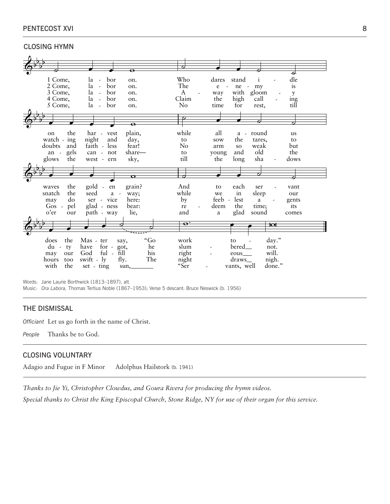## PENTECOST XVI 8

CLOSING HYMN

|                      |                                        | $\bullet$   |                           |                                         |                       |           |                          |       |
|----------------------|----------------------------------------|-------------|---------------------------|-----------------------------------------|-----------------------|-----------|--------------------------|-------|
|                      |                                        |             |                           |                                         |                       |           |                          | €     |
| 1 Come,              | la<br>bor<br>$\overline{\phantom{a}}$  | on.         | Who                       | dares                                   | stand                 |           |                          | dle   |
| 2 Come,              | la<br>bor<br>$\overline{\phantom{a}}$  | on.         | The                       | $\mathbf e$<br>$\overline{\phantom{a}}$ | ne                    | $-$ my    |                          | is    |
| 3 Come,              | la<br>bor<br>$\sim$                    | on.         | A                         | way                                     | with gloom            |           |                          | y     |
| 4 Come,              | bor<br>la<br>$\overline{\phantom{a}}$  | on.         | Claim                     | the                                     | high                  | call      |                          | ing   |
| 5 Come,              | bor<br>la<br>$\overline{\phantom{a}}$  | on.         | $\rm No$                  | time                                    | for                   | rest,     |                          | till  |
|                      |                                        |             |                           |                                         |                       |           |                          |       |
|                      |                                        |             |                           |                                         |                       |           |                          |       |
|                      |                                        |             |                           |                                         |                       | Θ         |                          |       |
|                      |                                        |             |                           |                                         |                       |           |                          |       |
| the<br>on            | har - vest                             | plain,      | while                     | all                                     |                       | a - round |                          | us    |
| watch - ing          | night<br>and                           | day,        | to                        | sow                                     | the                   | tares,    |                          | to    |
| doubts<br>and        | faith - less                           | fear!       | No                        | arm                                     | <b>SO</b>             | weak      |                          | but   |
| gels<br>an -         | can - not                              | share—      | to                        | young                                   | and                   | old       |                          | the   |
| the<br>glows         | west - ern                             | sky,        | till                      | the                                     | long                  | sha       | $\overline{\phantom{a}}$ | dows  |
|                      |                                        |             |                           |                                         |                       |           |                          |       |
|                      |                                        |             |                           |                                         |                       |           |                          |       |
|                      |                                        | $\sigma$    | ╭                         |                                         |                       | O         |                          |       |
|                      |                                        |             |                           |                                         |                       |           |                          |       |
| the<br>waves         | gold -<br>en                           | grain?      | And                       | to                                      | each                  | ser       |                          | vant  |
| snatch<br>the        | seed<br>$a -$                          | way;        | while                     | we                                      | in                    | sleep     |                          | our   |
| do<br>may            | ser - vice                             | here:       | by                        | feeb -                                  | lest                  | a         |                          | gents |
|                      |                                        |             |                           |                                         |                       |           |                          |       |
| $Gos$ -<br>pel       | glad - ness                            | bear:       | re                        | deem                                    | the                   | time;     |                          | its   |
| o'er<br>our          |                                        |             | and                       | a                                       |                       | sound     |                          | comes |
|                      | path - way                             | lie,        |                           |                                         | glad                  |           |                          |       |
|                      |                                        |             | $\overline{\mathbf{e}}$ . |                                         |                       |           | ां∝                      |       |
|                      |                                        |             |                           |                                         |                       |           |                          |       |
|                      |                                        |             |                           |                                         |                       |           |                          |       |
| the<br>does          | Mas - ter                              | "Go<br>say, | work                      |                                         | to                    |           | $day.$ "                 |       |
| $du -$<br>ty         | for $\sim$<br>have                     | he<br>got,  | slum                      |                                         | bered <sub>—</sub>    |           | not.                     |       |
| may<br>our           | God<br>ful<br>$\overline{\phantom{a}}$ | his<br>fill | right                     |                                         | eous.                 |           | will.                    |       |
| hours<br>too<br>with | swift - ly                             | fly.<br>The | night<br>"Ser             |                                         | draws_<br>vants, well |           | nigh.<br>done."          |       |

Words: Jane Laurie Borthwick (1813–1897), alt.

Music: *Ora Labora,* Thomas Tertius Noble (1867–1953); Verse 5 descant: Bruce Neswick (b. 1956)

## THE DISMISSAL

*Officiant* Let us go forth in the name of Christ.

*People* Thanks be to God.

## CLOSING VOLUNTARY

Adagio and Fugue in F Minor Adolphus Hailstork (b. 1941)

*Thanks to Jie Yi, Christopher Clowdus, and Goura Rivera for producing the hymn videos. Special thanks to Christ the King Episcopal Church, Stone Ridge, NY for use of their organ for this service.*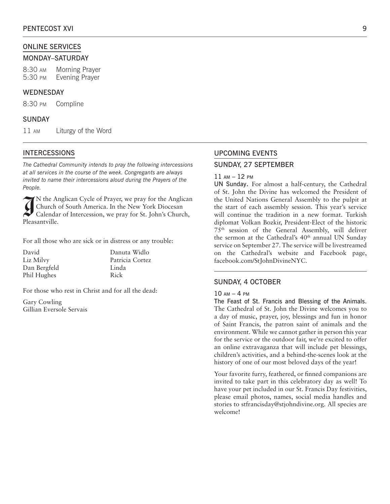### ONLINE SERVICES

#### MONDAY–SATURDAY

8:30 am Morning Prayer 5:30 pm Evening Prayer

#### WEDNESDAY

8:30 pm Compline

#### SUNDAY

11 am Liturgy of the Word

#### INTERCESSIONS

*The Cathedral Community intends to pray the following intercessions at all services in the course of the week. Congregants are always invited to name their intercessions aloud during the Prayers of the People.*

<sup>N</sup> the Anche Calenda<br>Pleasantville. N the Anglican Cycle of Prayer, we pray for the Anglican Church of South America. In the New York Diocesan Calendar of Intercession, we pray for St. John's Church,

For all those who are sick or in distress or any trouble:

David Liz Milvy Dan Bergfeld Phil Hughes

Danuta Widlo Patricia Cortez Linda Rick

For those who rest in Christ and for all the dead:

Gary Cowling Gillian Eversole Servais

# UPCOMING EVENTS SUNDAY, 27 SEPTEMBER

## 11 am – 12 pm

UN Sunday. For almost a half-century, the Cathedral of St. John the Divine has welcomed the President of the United Nations General Assembly to the pulpit at the start of each assembly session. This year's service will continue the tradition in a new format. Turkish diplomat Volkan Bozkir, President-Elect of the historic 75th session of the General Assembly, will deliver the sermon at the Cathedral's 40<sup>th</sup> annual UN Sunday service on September 27. The service will be livestreamed on the Cathedral's website and Facebook page, facebook.com/StJohnDivineNYC.

#### SUNDAY, 4 OCTOBER

#### 10 am – 4 pm

The Feast of St. Francis and Blessing of the Animals. The Cathedral of St. John the Divine welcomes you to a day of music, prayer, joy, blessings and fun in honor of Saint Francis, the patron saint of animals and the environment. While we cannot gather in person this year for the service or the outdoor fair, we're excited to offer an online extravaganza that will include pet blessings, children's activities, and a behind-the-scenes look at the history of one of our most beloved days of the year!

Your favorite furry, feathered, or finned companions are invited to take part in this celebratory day as well! To have your pet included in our St. Francis Day festivities, please email photos, names, social media handles and stories to stfrancisday@stjohndivine.org. All species are welcome!